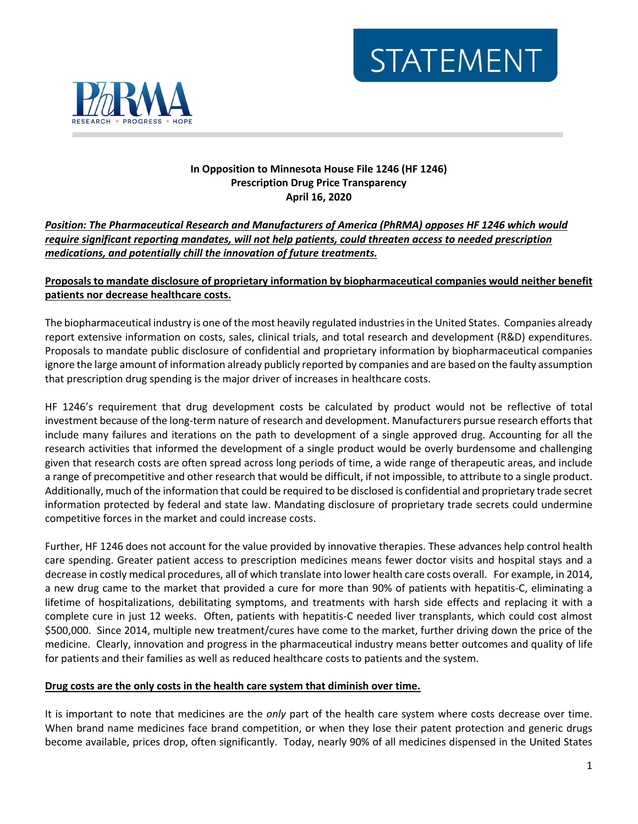# **STATEMENT**



## **In Opposition to Minnesota House File 1246 (HF 1246) Prescription Drug Price Transparency April 16, 2020**

# *Position: The Pharmaceutical Research and Manufacturers of America (PhRMA) opposes HF 1246 which would require significant reporting mandates, will not help patients, could threaten access to needed prescription medications, and potentially chill the innovation of future treatments.*

# **Proposals to mandate disclosure of proprietary information by biopharmaceutical companies would neither benefit patients nor decrease healthcare costs.**

The biopharmaceutical industry is one of the most heavily regulated industries in the United States. Companies already report extensive information on costs, sales, clinical trials, and total research and development (R&D) expenditures. Proposals to mandate public disclosure of confidential and proprietary information by biopharmaceutical companies ignore the large amount of information already publicly reported by companies and are based on the faulty assumption that prescription drug spending is the major driver of increases in healthcare costs.

HF 1246's requirement that drug development costs be calculated by product would not be reflective of total investment because of the long-term nature of research and development. Manufacturers pursue research efforts that include many failures and iterations on the path to development of a single approved drug. Accounting for all the research activities that informed the development of a single product would be overly burdensome and challenging given that research costs are often spread across long periods of time, a wide range of therapeutic areas, and include a range of precompetitive and other research that would be difficult, if not impossible, to attribute to a single product. Additionally, much of the information that could be required to be disclosed is confidential and proprietary trade secret information protected by federal and state law. Mandating disclosure of proprietary trade secrets could undermine competitive forces in the market and could increase costs.

Further, HF 1246 does not account for the value provided by innovative therapies. These advances help control health care spending. Greater patient access to prescription medicines means fewer doctor visits and hospital stays and a decrease in costly medical procedures, all of which translate into lower health care costs overall. For example, in 2014, a new drug came to the market that provided a cure for more than 90% of patients with hepatitis-C, eliminating a lifetime of hospitalizations, debilitating symptoms, and treatments with harsh side effects and replacing it with a complete cure in just 12 weeks. Often, patients with hepatitis-C needed liver transplants, which could cost almost \$500,000. Since 2014, multiple new treatment/cures have come to the market, further driving down the price of the medicine. Clearly, innovation and progress in the pharmaceutical industry means better outcomes and quality of life for patients and their families as well as reduced healthcare costs to patients and the system.

## **Drug costs are the only costs in the health care system that diminish over time.**

It is important to note that medicines are the *only* part of the health care system where costs decrease over time. When brand name medicines face brand competition, or when they lose their patent protection and generic drugs become available, prices drop, often significantly. Today, nearly 90% of all medicines dispensed in the United States